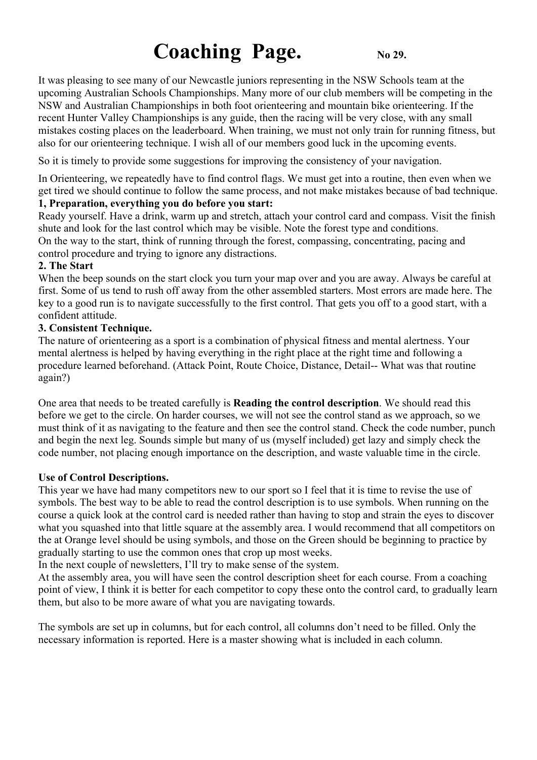# **Coaching Page.** No 29.

It was pleasing to see many of our Newcastle juniors representing in the NSW Schools team at the upcoming Australian Schools Championships. Many more of our club members will be competing in the NSW and Australian Championships in both foot orienteering and mountain bike orienteering. If the recent Hunter Valley Championships is any guide, then the racing will be very close, with any small mistakes costing places on the leaderboard. When training, we must not only train for running fitness, but also for our orienteering technique. I wish all of our members good luck in the upcoming events.

So it is timely to provide some suggestions for improving the consistency of your navigation.

In Orienteering, we repeatedly have to find control flags. We must get into a routine, then even when we get tired we should continue to follow the same process, and not make mistakes because of bad technique.

## **1, Preparation, everything you do before you start:**

Ready yourself. Have a drink, warm up and stretch, attach your control card and compass. Visit the finish shute and look for the last control which may be visible. Note the forest type and conditions. On the way to the start, think of running through the forest, compassing, concentrating, pacing and control procedure and trying to ignore any distractions.

#### **2. The Start**

When the beep sounds on the start clock you turn your map over and you are away. Always be careful at first. Some of us tend to rush off away from the other assembled starters. Most errors are made here. The key to a good run is to navigate successfully to the first control. That gets you off to a good start, with a confident attitude.

#### **3. Consistent Technique.**

The nature of orienteering as a sport is a combination of physical fitness and mental alertness. Your mental alertness is helped by having everything in the right place at the right time and following a procedure learned beforehand. (Attack Point, Route Choice, Distance, Detail-- What was that routine again?)

One area that needs to be treated carefully is **Reading the control description**. We should read this before we get to the circle. On harder courses, we will not see the control stand as we approach, so we must think of it as navigating to the feature and then see the control stand. Check the code number, punch and begin the next leg. Sounds simple but many of us (myself included) get lazy and simply check the code number, not placing enough importance on the description, and waste valuable time in the circle.

### **Use of Control Descriptions.**

This year we have had many competitors new to our sport so I feel that it is time to revise the use of symbols. The best way to be able to read the control description is to use symbols. When running on the course a quick look at the control card is needed rather than having to stop and strain the eyes to discover what you squashed into that little square at the assembly area. I would recommend that all competitors on the at Orange level should be using symbols, and those on the Green should be beginning to practice by gradually starting to use the common ones that crop up most weeks.

In the next couple of newsletters, I'll try to make sense of the system.

At the assembly area, you will have seen the control description sheet for each course. From a coaching point of view, I think it is better for each competitor to copy these onto the control card, to gradually learn them, but also to be more aware of what you are navigating towards.

The symbols are set up in columns, but for each control, all columns don't need to be filled. Only the necessary information is reported. Here is a master showing what is included in each column.